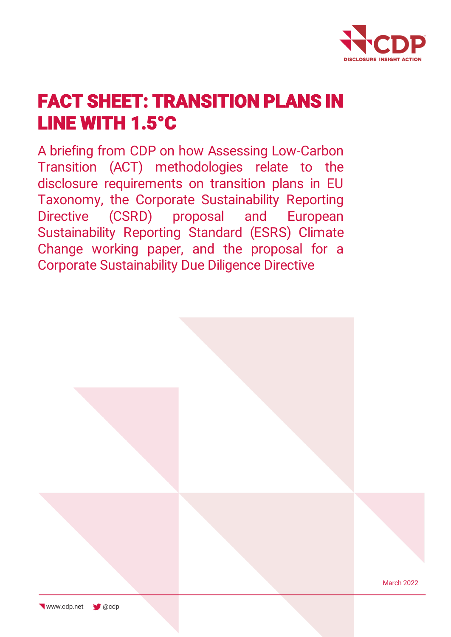

# FACT SHEET: TRANSITION PLANS IN LINE WITH 1.5°C

A briefing from CDP on how Assessing Low-Carbon Transition (ACT) methodologies relate to the disclosure requirements on transition plans in EU Taxonomy, the Corporate Sustainability Reporting Directive (CSRD) proposal and European Sustainability Reporting Standard (ESRS) Climate Change working paper, and the proposal for a Corporate Sustainability Due Diligence Directive

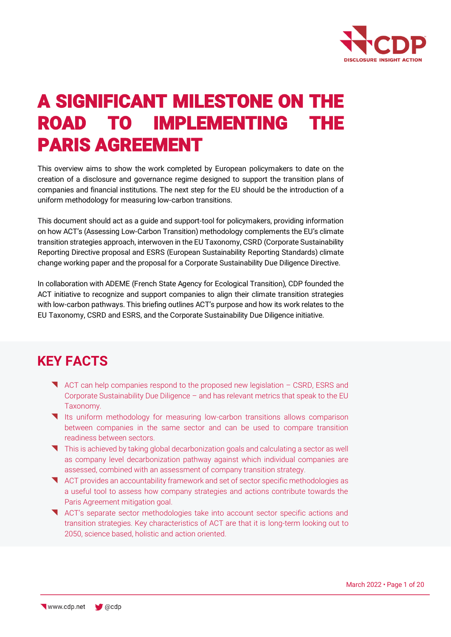

# A SIGNIFICANT MILESTONE ON THE ROAD TO IMPLEMENTING THE PARIS AGREEMENT

This overview aims to show the work completed by European policymakers to date on the creation of a disclosure and governance regime designed to support the transition plans of companies and financial institutions. The next step for the EU should be the introduction of a uniform methodology for measuring low-carbon transitions.

This document should act as a guide and support-tool for policymakers, providing information on how ACT's (Assessing Low-Carbon Transition) methodology complements the EU's climate transition strategies approach, interwoven in the EU Taxonomy, CSRD (Corporate Sustainability Reporting Directive proposal and ESRS (European Sustainability Reporting Standards) climate change working paper and the proposal for a Corporate Sustainability Due Diligence Directive.

In collaboration with ADEME (French State Agency for Ecological Transition), CDP founded the ACT initiative to recognize and support companies to align their climate transition strategies with low-carbon pathways. This briefing outlines ACT's purpose and how its work relates to the EU Taxonomy, CSRD and ESRS, and the Corporate Sustainability Due Diligence initiative.

### **KEY FACTS**

- ACT can help companies respond to the proposed new legislation CSRD, ESRS and Corporate Sustainability Due Diligence – and has relevant metrics that speak to the EU Taxonomy.
- **Its uniform methodology for measuring low-carbon transitions allows comparison** between companies in the same sector and can be used to compare transition readiness between sectors.
- **This is achieved by taking global decarbonization goals and calculating a sector as well** as company level decarbonization pathway against which individual companies are assessed, combined with an assessment of company transition strategy.
- ACT provides an accountability framework and set of sector specific methodologies as a useful tool to assess how company strategies and actions contribute towards the Paris Agreement mitigation goal.
- ACT's separate sector methodologies take into account sector specific actions and transition strategies. Key characteristics of ACT are that it is long-term looking out to 2050, science based, holistic and action oriented.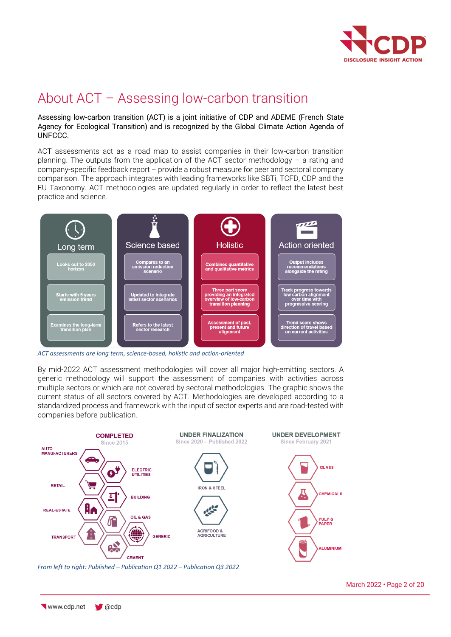

### About ACT – Assessing low-carbon transition

#### Assessing low-carbon transition (ACT) is a joint initiative of CDP and ADEME (French State Agency for Ecological Transition) and is recognized by the Global Climate Action Agenda of UNFCCC.

ACT assessments act as a road map to assist companies in their low-carbon transition planning. The outputs from the application of the ACT sector methodology – a rating and company-specific feedback report – provide a robust measure for peer and sectoral company comparison. The approach integrates with leading frameworks like SBTi, TCFD, CDP and the EU Taxonomy. ACT methodologies are updated regularly in order to reflect the latest best practice and science.



*ACT assessments are long term, science-based, holistic and action-oriented*

By mid-2022 ACT assessment methodologies will cover all major high-emitting sectors. A generic methodology will support the assessment of companies with activities across multiple sectors or which are not covered by sectoral methodologies. The graphic shows the current status of all sectors covered by ACT. Methodologies are developed according to a standardized process and framework with the input of sector experts and are road-tested with companies before publication.



*From left to right: Published – Publication Q1 2022 – Publication Q3 2022*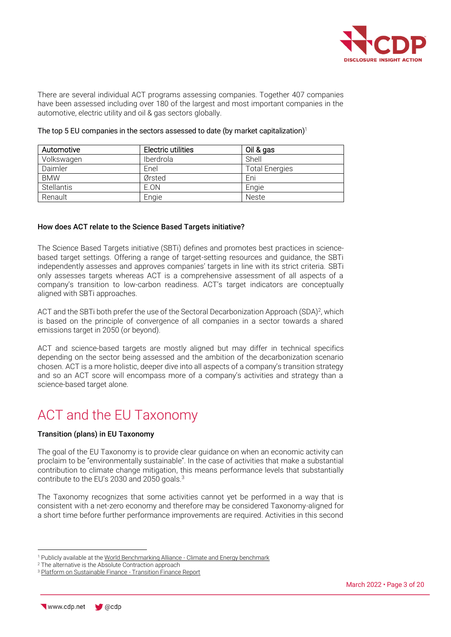

There are several individual ACT programs assessing companies. Together 407 companies have been assessed including over 180 of the largest and most important companies in the automotive, electric utility and oil & gas sectors globally.

| Automotive | <b>Electric utilities</b> | Oil & gas             |
|------------|---------------------------|-----------------------|
| Volkswagen | Iberdrola                 | Shell                 |
| Daimler    | Enel                      | <b>Total Energies</b> |
| <b>BMW</b> | Ørsted                    | Eni                   |
| Stellantis | E.ON                      | Engie                 |
| Renault    | Engie                     | <b>Neste</b>          |

The top 5 EU companies in the sectors assessed to date (by market capitalization) $^{\text{\tiny{\text{1}}}}$ 

#### How does ACT relate to the Science Based Targets initiative?

The Science Based Targets initiative (SBTi) defines and promotes best practices in sciencebased target settings. Offering a range of target-setting resources and guidance, the SBTi independently assesses and approves companies' targets in line with its strict criteria. SBTi only assesses targets whereas ACT is a comprehensive assessment of all aspects of a company's transition to low-carbon readiness. ACT's target indicators are conceptually aligned with SBTi approaches.

ACT and the SBTi both prefer the use of the Sectoral Decarbonization Approach (SDA)<sup>2</sup>, which is based on the principle of convergence of all companies in a sector towards a shared emissions target in 2050 (or beyond).

ACT and science-based targets are mostly aligned but may differ in technical specifics depending on the sector being assessed and the ambition of the decarbonization scenario chosen. ACT is a more holistic, deeper dive into all aspects of a company's transition strategy and so an ACT score will encompass more of a company's activities and strategy than a science-based target alone.

### ACT and the EU Taxonomy

#### Transition (plans) in EU Taxonomy

The goal of the EU Taxonomy is to provide clear guidance on when an economic activity can proclaim to be "environmentally sustainable". In the case of activities that make a substantial contribution to climate change mitigation, this means performance levels that substantially contribute to the EU's 2030 and 2050 goals.<sup>3</sup>

The Taxonomy recognizes that some activities cannot yet be performed in a way that is consistent with a net-zero economy and therefore may be considered Taxonomy-aligned for a short time before further performance improvements are required. Activities in this second

<sup>&</sup>lt;sup>1</sup> Publicly available at the World Benchmarking Alliance - [Climate and Energy benchmark](World%20Benchmarking%20Alliance%20-%20Climate%20and%20Energy%20benchmark)

<sup>&</sup>lt;sup>2</sup> The alternative is the Absolute Contraction approach

<sup>&</sup>lt;sup>3</sup> [Platform on Sustainable Finance -](https://ec.europa.eu/info/sites/default/files/business_economy_euro/banking_and_finance/documents/210319-eu-platform-transition-finance-report_en.pdf) Transition Finance Report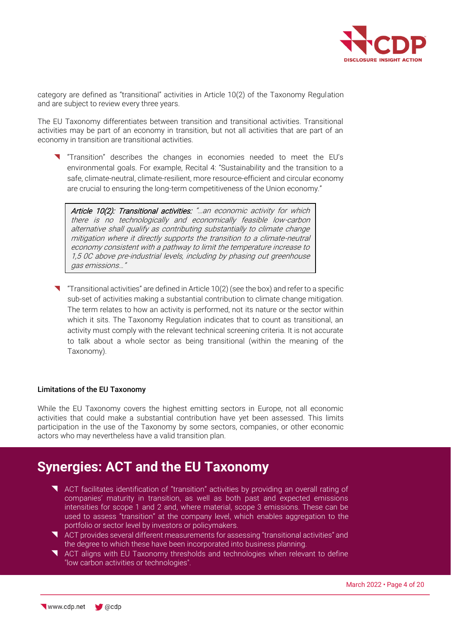

category are defined as "transitional" activities in Article 10(2) of the Taxonomy Regulation and are subject to review every three years.

The EU Taxonomy differentiates between transition and transitional activities. Transitional activities may be part of an economy in transition, but not all activities that are part of an economy in transition are transitional activities.

 "Transition" describes the changes in economies needed to meet the EU's environmental goals. For example, Recital 4: "Sustainability and the transition to a safe, climate-neutral, climate-resilient, more resource-efficient and circular economy are crucial to ensuring the long-term competitiveness of the Union economy."

Article 10(2): Transitional activities: "...an economic activity for which there is no technologically and economically feasible low-carbon alternative shall qualify as contributing substantially to climate change mitigation where it directly supports the transition to a climate-neutral economy consistent with a pathway to limit the temperature increase to 1,5 0C above pre-industrial levels, including by phasing out greenhouse gas emissions…"

 "Transitional activities" are defined in Article 10(2) (see the box) and refer to a specific sub-set of activities making a substantial contribution to climate change mitigation. The term relates to how an activity is performed, not its nature or the sector within which it sits. The Taxonomy Regulation indicates that to count as transitional, an activity must comply with the relevant technical screening criteria. It is not accurate to talk about a whole sector as being transitional (within the meaning of the Taxonomy).

#### Limitations of the EU Taxonomy

While the EU Taxonomy covers the highest emitting sectors in Europe, not all economic activities that could make a substantial contribution have yet been assessed. This limits participation in the use of the Taxonomy by some sectors, companies, or other economic actors who may nevertheless have a valid transition plan.

### **Synergies: ACT and the EU Taxonomy**

- ACT facilitates identification of "transition" activities by providing an overall rating of companies' maturity in transition, as well as both past and expected emissions intensities for scope 1 and 2 and, where material, scope 3 emissions. These can be used to assess "transition" at the company level, which enables aggregation to the portfolio or sector level by investors or policymakers.
- ACT provides several different measurements for assessing "transitional activities" and the degree to which these have been incorporated into business planning.
- ACT aligns with EU Taxonomy thresholds and technologies when relevant to define "low carbon activities or technologies".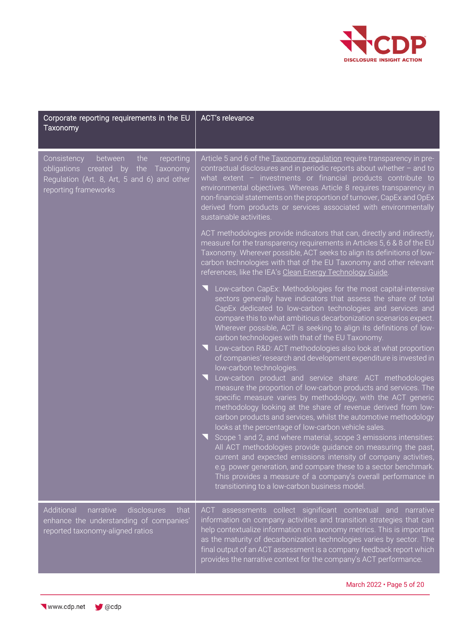

| Corporate reporting requirements in the EU<br>Taxonomy                                                                                                      | <b>ACT's relevance</b>                                                                                                                                                                                                                                                                                                                                                                                                                                                                                                                                                                                                                                                                                                                                                                                                                                                                                                                                                                                                                                                                                                                                                                                                                                                                                                                                        |
|-------------------------------------------------------------------------------------------------------------------------------------------------------------|---------------------------------------------------------------------------------------------------------------------------------------------------------------------------------------------------------------------------------------------------------------------------------------------------------------------------------------------------------------------------------------------------------------------------------------------------------------------------------------------------------------------------------------------------------------------------------------------------------------------------------------------------------------------------------------------------------------------------------------------------------------------------------------------------------------------------------------------------------------------------------------------------------------------------------------------------------------------------------------------------------------------------------------------------------------------------------------------------------------------------------------------------------------------------------------------------------------------------------------------------------------------------------------------------------------------------------------------------------------|
| the<br>Consistency<br>between<br>reporting<br>obligations created by the<br>Taxonomy<br>Regulation (Art. 8, Art, 5 and 6) and other<br>reporting frameworks | Article 5 and 6 of the Taxonomy regulation require transparency in pre-<br>contractual disclosures and in periodic reports about whether - and to<br>what extent $-$ investments or financial products contribute to<br>environmental objectives. Whereas Article 8 requires transparency in<br>non-financial statements on the proportion of turnover, CapEx and OpEx<br>derived from products or services associated with environmentally<br>sustainable activities.                                                                                                                                                                                                                                                                                                                                                                                                                                                                                                                                                                                                                                                                                                                                                                                                                                                                                        |
|                                                                                                                                                             | ACT methodologies provide indicators that can, directly and indirectly,<br>measure for the transparency requirements in Articles 5, 6 & 8 of the EU<br>Taxonomy. Wherever possible, ACT seeks to align its definitions of low-<br>carbon technologies with that of the EU Taxonomy and other relevant<br>references, like the IEA's Clean Energy Technology Guide.                                                                                                                                                                                                                                                                                                                                                                                                                                                                                                                                                                                                                                                                                                                                                                                                                                                                                                                                                                                            |
|                                                                                                                                                             | Low-carbon CapEx: Methodologies for the most capital-intensive<br>sectors generally have indicators that assess the share of total<br>CapEx dedicated to low-carbon technologies and services and<br>compare this to what ambitious decarbonization scenarios expect.<br>Wherever possible, ACT is seeking to align its definitions of low-<br>carbon technologies with that of the EU Taxonomy.<br>▼ Low-carbon R&D: ACT methodologies also look at what proportion<br>of companies' research and development expenditure is invested in<br>low-carbon technologies.<br>Low-carbon product and service share: ACT methodologies<br>measure the proportion of low-carbon products and services. The<br>specific measure varies by methodology, with the ACT generic<br>methodology looking at the share of revenue derived from low-<br>carbon products and services, whilst the automotive methodology<br>looks at the percentage of low-carbon vehicle sales.<br>Scope 1 and 2, and where material, scope 3 emissions intensities:<br>All ACT methodologies provide guidance on measuring the past,<br>current and expected emissions intensity of company activities,<br>e.g. power generation, and compare these to a sector benchmark.<br>This provides a measure of a company's overall performance in<br>transitioning to a low-carbon business model. |
| Additional<br>narrative<br>disclosures<br>that<br>enhance the understanding of companies'<br>reported taxonomy-aligned ratios                               | ACT assessments collect significant contextual and narrative<br>information on company activities and transition strategies that can<br>help contextualize information on taxonomy metrics. This is important<br>as the maturity of decarbonization technologies varies by sector. The<br>final output of an ACT assessment is a company feedback report which<br>provides the narrative context for the company's ACT performance.                                                                                                                                                                                                                                                                                                                                                                                                                                                                                                                                                                                                                                                                                                                                                                                                                                                                                                                           |

March 2022 • Page 5 of 20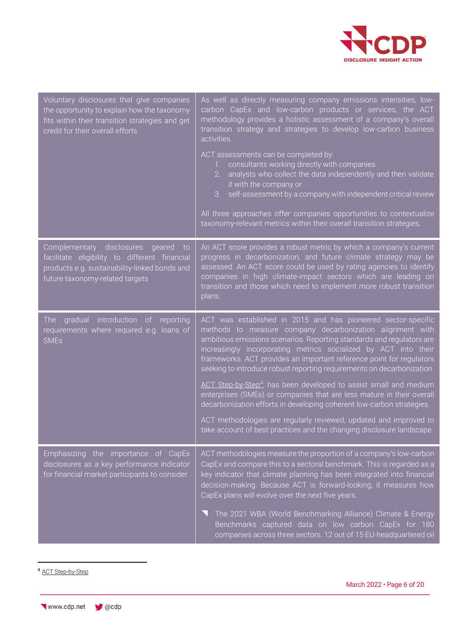

| Voluntary disclosures that give companies<br>the opportunity to explain how the taxonomy<br>fits within their transition strategies and get<br>credit for their overall efforts | As well as directly measuring company emissions intensities, low-<br>carbon CapEx and low-carbon products or services, the ACT<br>methodology provides a holistic assessment of a company's overall<br>transition strategy and strategies to develop low-carbon business<br>activities.<br>ACT assessments can be completed by:<br>1. consultants working directly with companies<br>2. analysts who collect the data independently and then validate<br>it with the company or<br>self-assessment by a company with independent critical review<br>3.<br>All three approaches offer companies opportunities to contextualize<br>taxonomy-relevant metrics within their overall transition strategies.                                                                                                    |
|---------------------------------------------------------------------------------------------------------------------------------------------------------------------------------|-----------------------------------------------------------------------------------------------------------------------------------------------------------------------------------------------------------------------------------------------------------------------------------------------------------------------------------------------------------------------------------------------------------------------------------------------------------------------------------------------------------------------------------------------------------------------------------------------------------------------------------------------------------------------------------------------------------------------------------------------------------------------------------------------------------|
| Complementary disclosures<br>geared<br>to<br>facilitate eligibility to different financial<br>products e.g. sustainability-linked bonds and<br>future taxonomy-related targets  | An ACT score provides a robust metric by which a company's current<br>progress in decarbonization, and future climate strategy may be<br>assessed. An ACT score could be used by rating agencies to identify<br>companies in high climate-impact sectors which are leading on<br>transition and those which need to implement more robust transition<br>plans.                                                                                                                                                                                                                                                                                                                                                                                                                                            |
| The gradual introduction<br>of reporting<br>requirements where required e.g. loans of<br><b>SMEs</b>                                                                            | ACT was established in 2015 and has pioneered sector-specific<br>methods to measure company decarbonization alignment with<br>ambitious emissions scenarios. Reporting standards and regulators are<br>increasingly incorporating metrics socialized by ACT into their<br>frameworks. ACT provides an important reference point for regulators<br>seeking to introduce robust reporting requirements on decarbonization.<br>ACT Step-by-Step <sup>4</sup> , has been developed to assist small and medium<br>enterprises (SMEs) or companies that are less mature in their overall<br>decarbonization efforts in developing coherent low-carbon strategies.<br>ACT methodologies are regularly reviewed, updated and improved to<br>take account of best practices and the changing disclosure landscape. |
| Emphasizing the importance of CapEx<br>disclosures as a key performance indicator<br>for financial market participants to consider                                              | ACT methodologies measure the proportion of a company's low-carbon<br>CapEx and compare this to a sectoral benchmark. This is regarded as a<br>key indicator that climate planning has been integrated into financial<br>decision-making. Because ACT is forward-looking, it measures how<br>CapEx plans will evolve over the next five years.<br>The 2021 WBA (World Benchmarking Alliance) Climate & Energy<br>Benchmarks captured data on low carbon CapEx for 180<br>companies across three sectors. 12 out of 15 EU-headquartered oil                                                                                                                                                                                                                                                                |

<sup>4</sup> [ACT Step-by-Step](https://actinitiative.org/build-your-strategy/)

March 2022 • Page 6 of 20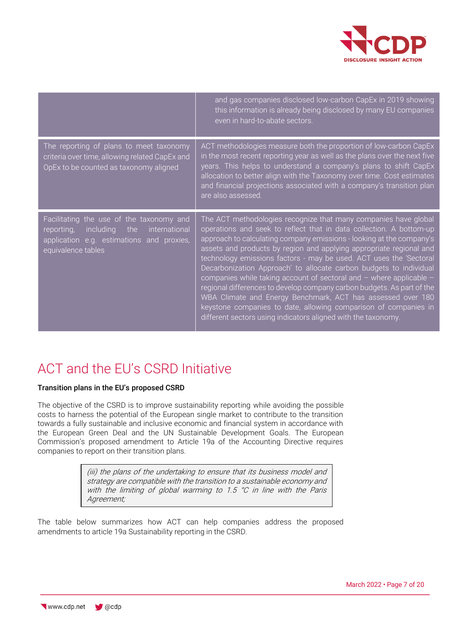

|                                                                                                                                                                | and gas companies disclosed low-carbon CapEx in 2019 showing<br>this information is already being disclosed by many EU companies<br>even in hard-to-abate sectors.                                                                                                                                                                                                                                                                                                                                                                                                                                                                                                                                                                                                                        |
|----------------------------------------------------------------------------------------------------------------------------------------------------------------|-------------------------------------------------------------------------------------------------------------------------------------------------------------------------------------------------------------------------------------------------------------------------------------------------------------------------------------------------------------------------------------------------------------------------------------------------------------------------------------------------------------------------------------------------------------------------------------------------------------------------------------------------------------------------------------------------------------------------------------------------------------------------------------------|
| The reporting of plans to meet taxonomy<br>criteria over time, allowing related CapEx and<br>OpEx to be counted as taxonomy aligned                            | ACT methodologies measure both the proportion of low-carbon CapEx<br>in the most recent reporting year as well as the plans over the next five<br>years. This helps to understand a company's plans to shift CapEx<br>allocation to better align with the Taxonomy over time. Cost estimates<br>and financial projections associated with a company's transition plan<br>are also assessed.                                                                                                                                                                                                                                                                                                                                                                                               |
| Facilitating the use of the taxonomy and<br>reporting,<br>including<br>the<br>international<br>application e.g. estimations and proxies,<br>equivalence tables | The ACT methodologies recognize that many companies have global<br>operations and seek to reflect that in data collection. A bottom-up<br>approach to calculating company emissions - looking at the company's<br>assets and products by region and applying appropriate regional and<br>technology emissions factors - may be used. ACT uses the 'Sectoral<br>Decarbonization Approach' to allocate carbon budgets to individual<br>companies while taking account of sectoral and $-$ where applicable $-$<br>regional differences to develop company carbon budgets. As part of the<br>WBA Climate and Energy Benchmark, ACT has assessed over 180<br>keystone companies to date, allowing comparison of companies in<br>different sectors using indicators aligned with the taxonomy. |

### ACT and the EU's CSRD Initiative

### Transition plans in the EU's proposed CSRD

The objective of the CSRD is to improve sustainability reporting while avoiding the possible costs to harness the potential of the European single market to contribute to the transition towards a fully sustainable and inclusive economic and financial system in accordance with the European Green Deal and the UN Sustainable Development Goals. The European Commission's proposed amendment to Article 19a of the Accounting Directive requires companies to report on their transition plans.

> (iii) the plans of the undertaking to ensure that its business model and strategy are compatible with the transition to a sustainable economy and with the limiting of global warming to 1.5  $^{\circ}$ C in line with the Paris Agreement;

The table below summarizes how ACT can help companies address the proposed amendments to article 19a Sustainability reporting in the CSRD.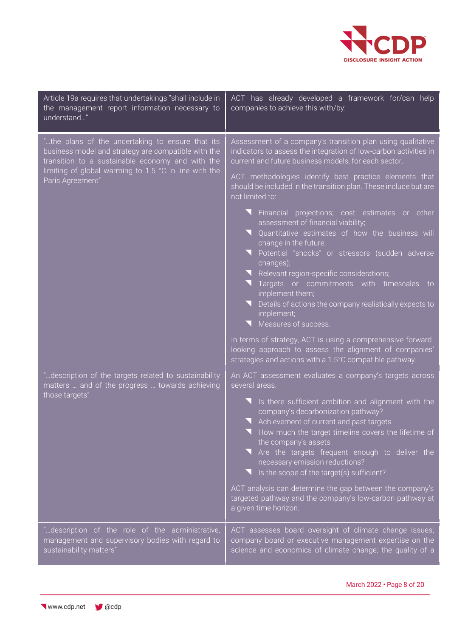

| Article 19a requires that undertakings "shall include in<br>the management report information necessary to<br>understand"                                                                                                                | ACT has already developed a framework for/can help<br>companies to achieve this with/by:                                                                                                                                                                                                                                                                                                                                                                                                                                                                                                                                                                                                                                                                                                      |
|------------------------------------------------------------------------------------------------------------------------------------------------------------------------------------------------------------------------------------------|-----------------------------------------------------------------------------------------------------------------------------------------------------------------------------------------------------------------------------------------------------------------------------------------------------------------------------------------------------------------------------------------------------------------------------------------------------------------------------------------------------------------------------------------------------------------------------------------------------------------------------------------------------------------------------------------------------------------------------------------------------------------------------------------------|
| "the plans of the undertaking to ensure that its<br>business model and strategy are compatible with the<br>transition to a sustainable economy and with the<br>limiting of global warming to 1.5 °C in line with the<br>Paris Agreement" | Assessment of a company's transition plan using qualitative<br>indicators to assess the integration of low-carbon activities in<br>current and future business models, for each sector.<br>ACT methodologies identify best practice elements that<br>should be included in the transition plan. These include but are<br>not limited to:<br>T Financial projections; cost estimates or other<br>assessment of financial viability;<br>Quantitative estimates of how the business will<br>change in the future;<br>Potential "shocks" or stressors (sudden adverse<br>changes);<br>Relevant region-specific considerations;<br>T Targets or commitments with timescales to<br>implement them;<br>Details of actions the company realistically expects to<br>implement;<br>Measures of success. |
|                                                                                                                                                                                                                                          | In terms of strategy, ACT is using a comprehensive forward-<br>looking approach to assess the alignment of companies'<br>strategies and actions with a 1.5°C compatible pathway.                                                                                                                                                                                                                                                                                                                                                                                                                                                                                                                                                                                                              |
| "description of the targets related to sustainability<br>matters  and of the progress  towards achieving<br>those targets"                                                                                                               | An ACT assessment evaluates a company's targets across<br>several areas.<br>$\blacksquare$ Is there sufficient ambition and alignment with the<br>company's decarbonization pathway?<br>Achievement of current and past targets<br>$\blacksquare$ How much the target timeline covers the lifetime of<br>the company's assets<br>Are the targets frequent enough to deliver the<br>necessary emission reductions?<br>Is the scope of the target(s) sufficient?<br>ACT analysis can determine the gap between the company's<br>targeted pathway and the company's low-carbon pathway at<br>a given time horizon.                                                                                                                                                                               |
| "description of the role of the administrative,<br>management and supervisory bodies with regard to<br>sustainability matters"                                                                                                           | ACT assesses board oversight of climate change issues;<br>company board or executive management expertise on the<br>science and economics of climate change; the quality of a                                                                                                                                                                                                                                                                                                                                                                                                                                                                                                                                                                                                                 |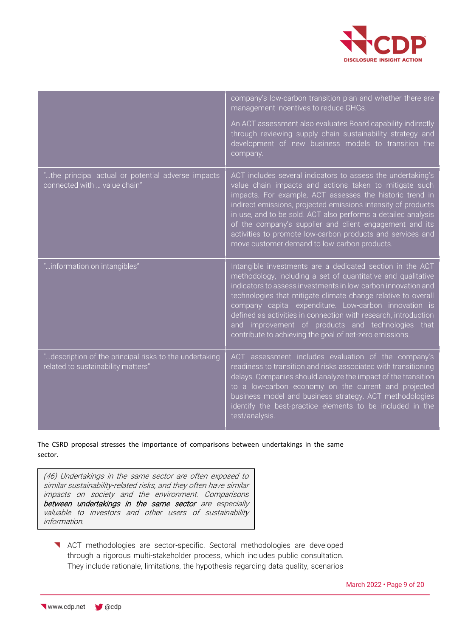

|                                                                                              | company's low-carbon transition plan and whether there are<br>management incentives to reduce GHGs.                                                                                                                                                                                                                                                                                                                                                                                                     |
|----------------------------------------------------------------------------------------------|---------------------------------------------------------------------------------------------------------------------------------------------------------------------------------------------------------------------------------------------------------------------------------------------------------------------------------------------------------------------------------------------------------------------------------------------------------------------------------------------------------|
|                                                                                              | An ACT assessment also evaluates Board capability indirectly<br>through reviewing supply chain sustainability strategy and<br>development of new business models to transition the<br>company.                                                                                                                                                                                                                                                                                                          |
| "the principal actual or potential adverse impacts<br>connected with  value chain"           | ACT includes several indicators to assess the undertaking's<br>value chain impacts and actions taken to mitigate such<br>impacts. For example, ACT assesses the historic trend in<br>indirect emissions, projected emissions intensity of products<br>in use, and to be sold. ACT also performs a detailed analysis<br>of the company's supplier and client engagement and its<br>activities to promote low-carbon products and services and<br>move customer demand to low-carbon products.            |
| " information on intangibles"                                                                | Intangible investments are a dedicated section in the ACT<br>methodology, including a set of quantitative and qualitative<br>indicators to assess investments in low-carbon innovation and<br>technologies that mitigate climate change relative to overall<br>company capital expenditure. Low-carbon innovation is<br>defined as activities in connection with research, introduction<br>and improvement of products and technologies that<br>contribute to achieving the goal of net-zero emissions. |
| "description of the principal risks to the undertaking<br>related to sustainability matters" | ACT assessment includes evaluation of the company's<br>readiness to transition and risks associated with transitioning<br>delays. Companies should analyze the impact of the transition<br>to a low-carbon economy on the current and projected<br>business model and business strategy. ACT methodologies<br>identify the best-practice elements to be included in the<br>test/analysis.                                                                                                               |

The CSRD proposal stresses the importance of comparisons between undertakings in the same sector.

(46) Undertakings in the same sector are often exposed to similar sustainability-related risks, and they often have similar impacts on society and the environment. Comparisons between undertakings in the same sector are especially valuable to investors and other users of sustainability information.

 ACT methodologies are sector-specific. Sectoral methodologies are developed through a rigorous multi-stakeholder process, which includes public consultation. They include rationale, limitations, the hypothesis regarding data quality, scenarios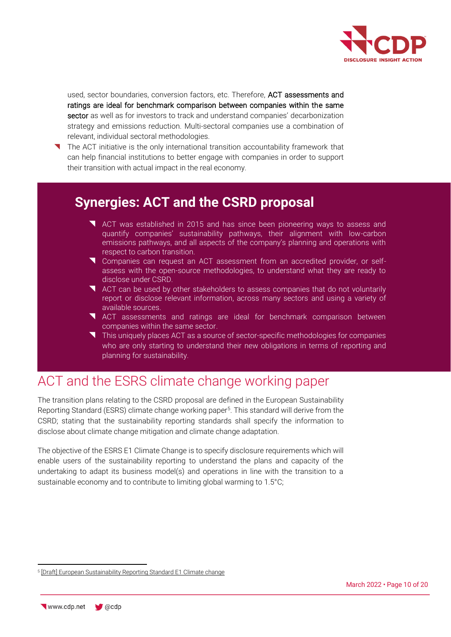

used, sector boundaries, conversion factors, etc. Therefore, ACT assessments and ratings are ideal for benchmark comparison between companies within the same sector as well as for investors to track and understand companies' decarbonization strategy and emissions reduction. Multi-sectoral companies use a combination of relevant, individual sectoral methodologies.

The ACT initiative is the only international transition accountability framework that can help financial institutions to better engage with companies in order to support their transition with actual impact in the real economy.

### **Synergies: ACT and the CSRD proposal**

- ACT was established in 2015 and has since been pioneering ways to assess and quantify companies' sustainability pathways, their alignment with low-carbon emissions pathways, and all aspects of the company's planning and operations with respect to carbon transition.
- Companies can request an ACT assessment from an accredited provider, or selfassess with the open-source methodologies, to understand what they are ready to disclose under CSRD.
- ACT can be used by other stakeholders to assess companies that do not voluntarily report or disclose relevant information, across many sectors and using a variety of available sources.
- **ACT** assessments and ratings are ideal for benchmark comparison between companies within the same sector.
- **This uniquely places ACT as a source of sector-specific methodologies for companies** who are only starting to understand their new obligations in terms of reporting and planning for sustainability.

### ACT and the ESRS climate change working paper

The transition plans relating to the CSRD proposal are defined in the European Sustainability Reporting Standard (ESRS) climate change working paper<sup>5</sup>. This standard will derive from the CSRD; stating that the sustainability reporting standards shall specify the information to disclose about climate change mitigation and climate change adaptation.

The objective of the ESRS [E1 Climate Change](https://www.efrag.org/Assets/Download?assetUrl=/sites/webpublishing/SiteAssets/Appendix%202.5%20-%20WP%20on%20draft%20ESRS%20E1.pdf) is to specify disclosure requirements which will enable users of the sustainability reporting to understand the plans and capacity of the undertaking to adapt its business model(s) and operations in line with the transition to a sustainable economy and to contribute to limiting global warming to 1.5°C;

<sup>&</sup>lt;sup>5</sup> [\[Draft\] European Sustainability Reporting Standard E1 Climate change](https://www.efrag.org/Assets/Download?assetUrl=/sites/webpublishing/SiteAssets/Appendix%202.5%20-%20WP%20on%20draft%20ESRS%20E1.pdf)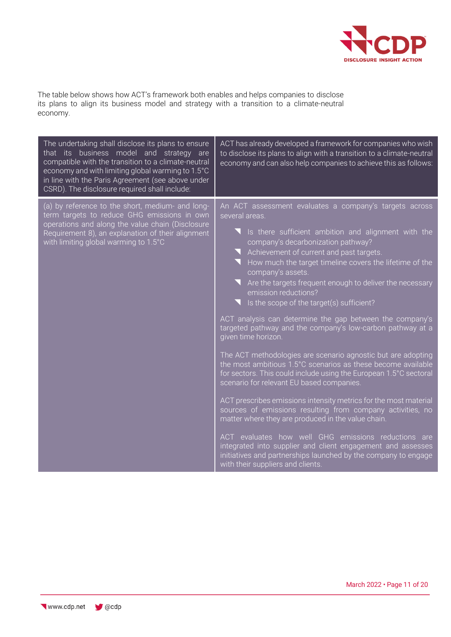

The table below shows how ACT's framework both enables and helps companies to disclose its plans to align its business model and strategy with a transition to a climate-neutral economy.

| The undertaking shall disclose its plans to ensure<br>that its business model and strategy are<br>compatible with the transition to a climate-neutral<br>economy and with limiting global warming to 1.5°C<br>in line with the Paris Agreement (see above under<br>CSRD). The disclosure required shall include: | ACT has already developed a framework for companies who wish<br>to disclose its plans to align with a transition to a climate-neutral<br>economy and can also help companies to achieve this as follows:                                                                                                                                                                                                                                                                                                                                                                                                                                                                                                                                                                                                                                                                                                                                                                                                                                                                                                                                                                                                                                                     |
|------------------------------------------------------------------------------------------------------------------------------------------------------------------------------------------------------------------------------------------------------------------------------------------------------------------|--------------------------------------------------------------------------------------------------------------------------------------------------------------------------------------------------------------------------------------------------------------------------------------------------------------------------------------------------------------------------------------------------------------------------------------------------------------------------------------------------------------------------------------------------------------------------------------------------------------------------------------------------------------------------------------------------------------------------------------------------------------------------------------------------------------------------------------------------------------------------------------------------------------------------------------------------------------------------------------------------------------------------------------------------------------------------------------------------------------------------------------------------------------------------------------------------------------------------------------------------------------|
| (a) by reference to the short, medium- and long-<br>term targets to reduce GHG emissions in own<br>operations and along the value chain (Disclosure<br>Requirement 8), an explanation of their alignment<br>with limiting global warming to 1.5°C                                                                | An ACT assessment evaluates a company's targets across<br>several areas.<br>S Is there sufficient ambition and alignment with the<br>company's decarbonization pathway?<br>Achievement of current and past targets.<br>How much the target timeline covers the lifetime of the<br>company's assets.<br>Are the targets frequent enough to deliver the necessary<br>emission reductions?<br>Is the scope of the target(s) sufficient?<br>ACT analysis can determine the gap between the company's<br>targeted pathway and the company's low-carbon pathway at a<br>given time horizon.<br>The ACT methodologies are scenario agnostic but are adopting<br>the most ambitious 1.5°C scenarios as these become available<br>for sectors. This could include using the European 1.5°C sectoral<br>scenario for relevant EU based companies.<br>ACT prescribes emissions intensity metrics for the most material<br>sources of emissions resulting from company activities, no<br>matter where they are produced in the value chain.<br>ACT evaluates how well GHG emissions reductions are<br>integrated into supplier and client engagement and assesses<br>initiatives and partnerships launched by the company to engage<br>with their suppliers and clients. |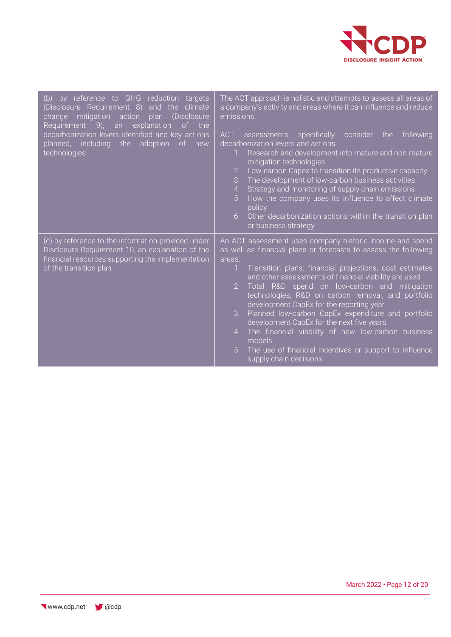

| (b) by reference to GHG reduction targets<br>(Disclosure Requirement 8)<br>and the climate<br>mitigation<br>(Disclosure<br>action<br>plan<br>change<br>of the<br>9), an<br>explanation<br>Requirement<br>decarbonization levers identified and key actions<br>including<br>the<br>adoption<br>planned,<br>of new<br>technologies | The ACT approach is holistic and attempts to assess all areas of<br>a company's activity and areas where it can influence and reduce<br>emissions.<br>assessments specifically<br>consider the<br>following<br><b>ACT</b><br>decarbonization levers and actions:<br>Research and development into mature and non-mature<br>mitigation technologies<br>Low-carbon Capex to transition its productive capacity<br>2.<br>The development of low-carbon business activities<br>3.<br>Strategy and monitoring of supply chain emissions<br>4.<br>How the company uses its influence to affect climate<br>5 <sub>1</sub><br>policy<br>6. Other decarbonization actions within the transition plan<br>or business strategy     |
|----------------------------------------------------------------------------------------------------------------------------------------------------------------------------------------------------------------------------------------------------------------------------------------------------------------------------------|-------------------------------------------------------------------------------------------------------------------------------------------------------------------------------------------------------------------------------------------------------------------------------------------------------------------------------------------------------------------------------------------------------------------------------------------------------------------------------------------------------------------------------------------------------------------------------------------------------------------------------------------------------------------------------------------------------------------------|
| (c) by reference to the information provided under<br>Disclosure Requirement 10, an explanation of the<br>financial resources supporting the implementation<br>of the transition plan                                                                                                                                            | An ACT assessment uses company historic income and spend<br>as well as financial plans or forecasts to assess the following<br>areas:<br>Transition plans: financial projections, cost estimates<br>$1_{-}$<br>and other assessments of financial viability are used<br>Total R&D spend on low-carbon and mitigation<br>$2_{-}$<br>technologies, R&D on carbon removal, and portfolio<br>development CapEx for the reporting year<br>Planned low-carbon CapEx expenditure and portfolio<br>3.<br>development CapEx for the next five years<br>The financial viability of new low-carbon business<br>4.<br>models<br>The use of financial incentives or support to influence<br>5 <sub>1</sub><br>supply chain decisions |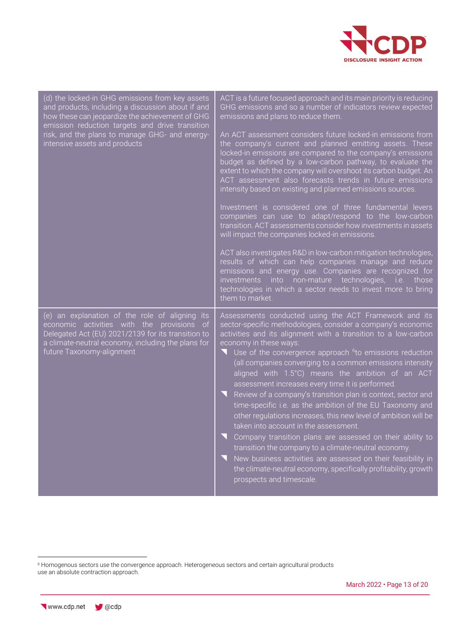

| (d) the locked-in GHG emissions from key assets<br>and products, including a discussion about if and<br>how these can jeopardize the achievement of GHG<br>emission reduction targets and drive transition<br>risk, and the plans to manage GHG- and energy-<br>intensive assets and products | ACT is a future focused approach and its main priority is reducing<br>GHG emissions and so a number of indicators review expected<br>emissions and plans to reduce them.<br>An ACT assessment considers future locked-in emissions from<br>the company's current and planned emitting assets. These<br>locked-in emissions are compared to the company's emissions<br>budget as defined by a low-carbon pathway, to evaluate the<br>extent to which the company will overshoot its carbon budget. An<br>ACT assessment also forecasts trends in future emissions<br>intensity based on existing and planned emissions sources.<br>Investment is considered one of three fundamental levers<br>companies can use to adapt/respond to the low-carbon<br>transition. ACT assessments consider how investments in assets<br>will impact the companies locked-in emissions.<br>ACT also investigates R&D in low-carbon mitigation technologies,<br>results of which can help companies manage and reduce<br>emissions and energy use. Companies are recognized for<br>investments into non-mature technologies, i.e. those<br>technologies in which a sector needs to invest more to bring<br>them to market. |
|-----------------------------------------------------------------------------------------------------------------------------------------------------------------------------------------------------------------------------------------------------------------------------------------------|----------------------------------------------------------------------------------------------------------------------------------------------------------------------------------------------------------------------------------------------------------------------------------------------------------------------------------------------------------------------------------------------------------------------------------------------------------------------------------------------------------------------------------------------------------------------------------------------------------------------------------------------------------------------------------------------------------------------------------------------------------------------------------------------------------------------------------------------------------------------------------------------------------------------------------------------------------------------------------------------------------------------------------------------------------------------------------------------------------------------------------------------------------------------------------------------------------|
| (e) an explanation of the role of aligning its<br>economic activities with the provisions of<br>Delegated Act (EU) 2021/2139 for its transition to<br>a climate-neutral economy, including the plans for<br>future Taxonomy-alignment                                                         | Assessments conducted using the ACT Framework and its<br>sector-specific methodologies, consider a company's economic<br>activities and its alignment with a transition to a low-carbon<br>economy in these ways:<br>$\blacksquare$ Use of the convergence approach $6$ to emissions reduction<br>(all companies converging to a common emissions intensity<br>aligned with 1.5°C) means the ambition of an ACT<br>assessment increases every time it is performed.<br>Review of a company's transition plan is context, sector and<br>$\mathbf{N}$<br>time-specific i.e. as the ambition of the EU Taxonomy and<br>other regulations increases, this new level of ambition will be<br>taken into account in the assessment.<br>Company transition plans are assessed on their ability to<br>transition the company to a climate-neutral economy.<br>New business activities are assessed on their feasibility in<br>$\mathbf{N}$<br>the climate-neutral economy, specifically profitability, growth<br>prospects and timescale.                                                                                                                                                                         |

<sup>6</sup> Homogenous sectors use the convergence approach. Heterogeneous sectors and certain agricultural products use an absolute contraction approach.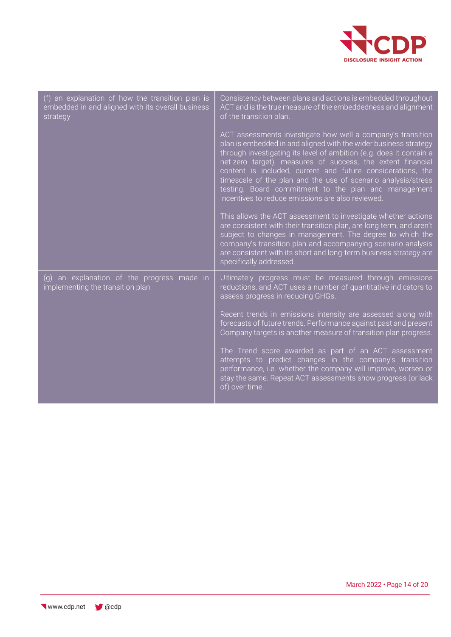

| (f) an explanation of how the transition plan is<br>embedded in and aligned with its overall business<br>strategy | Consistency between plans and actions is embedded throughout<br>ACT and is the true measure of the embeddedness and alignment<br>of the transition plan.                                                                                                                                                                                                                                                                                                                                                           |
|-------------------------------------------------------------------------------------------------------------------|--------------------------------------------------------------------------------------------------------------------------------------------------------------------------------------------------------------------------------------------------------------------------------------------------------------------------------------------------------------------------------------------------------------------------------------------------------------------------------------------------------------------|
|                                                                                                                   | ACT assessments investigate how well a company's transition<br>plan is embedded in and aligned with the wider business strategy<br>through investigating its level of ambition (e.g. does it contain a<br>net-zero target), measures of success, the extent financial<br>content is included, current and future considerations, the<br>timescale of the plan and the use of scenario analysis/stress<br>testing. Board commitment to the plan and management<br>incentives to reduce emissions are also reviewed. |
|                                                                                                                   | This allows the ACT assessment to investigate whether actions<br>are consistent with their transition plan, are long term, and aren't<br>subject to changes in management. The degree to which the<br>company's transition plan and accompanying scenario analysis<br>are consistent with its short and long-term business strategy are<br>specifically addressed.                                                                                                                                                 |
| (g) an explanation of the progress made in<br>implementing the transition plan                                    | Ultimately progress must be measured through emissions<br>reductions, and ACT uses a number of quantitative indicators to<br>assess progress in reducing GHGs.                                                                                                                                                                                                                                                                                                                                                     |
|                                                                                                                   | Recent trends in emissions intensity are assessed along with<br>forecasts of future trends. Performance against past and present<br>Company targets is another measure of transition plan progress.                                                                                                                                                                                                                                                                                                                |
|                                                                                                                   | The Trend score awarded as part of an ACT assessment<br>attempts to predict changes in the company's transition<br>performance, i.e. whether the company will improve, worsen or<br>stay the same. Repeat ACT assessments show progress (or lack<br>of) over time.                                                                                                                                                                                                                                                 |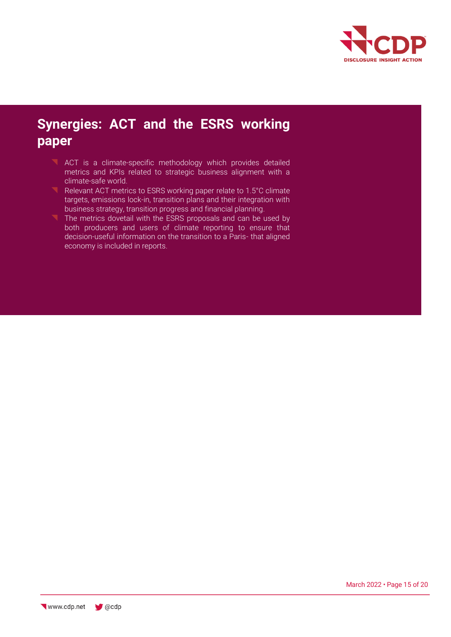

### **Synergies: ACT and the ESRS working paper**

- ACT is a climate-specific methodology which provides detailed metrics and KPIs related to strategic business alignment with a climate-safe world.
- Relevant ACT metrics to ESRS working paper relate to 1.5°C climate targets, emissions lock-in, transition plans and their integration with business strategy, transition progress and financial planning.
- The metrics dovetail with the ESRS proposals and can be used by both producers and users of climate reporting to ensure that decision-useful information on the transition to a Paris- that aligned economy is included in reports.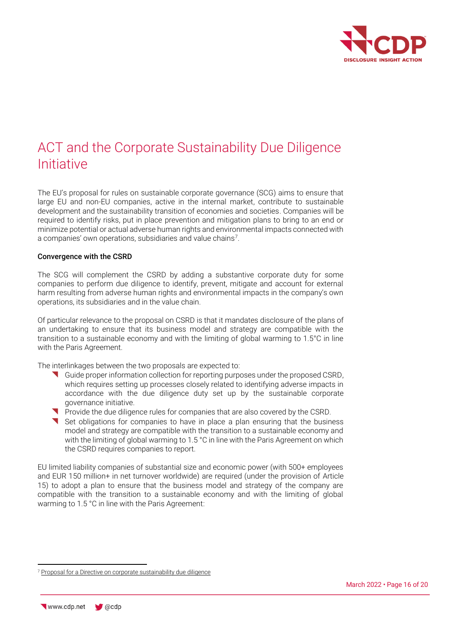

### ACT and the Corporate Sustainability Due Diligence Initiative

The EU's proposal for rules on sustainable corporate governance (SCG) aims to ensure that large EU and non-EU companies, active in the internal market, contribute to sustainable development and the sustainability transition of economies and societies. Companies will be required to identify risks, put in place prevention and mitigation plans to bring to an end or minimize potential or actual adverse human rights and environmental impacts connected with a companies' own operations, subsidiaries and value chains<sup>7</sup>.

#### Convergence with the CSRD

The SCG will complement the CSRD by adding a substantive corporate duty for some companies to perform due diligence to identify, prevent, mitigate and account for external harm resulting from adverse human rights and environmental impacts in the company's own operations, its subsidiaries and in the value chain.

Of particular relevance to the proposal on CSRD is that it mandates disclosure of the plans of an undertaking to ensure that its business model and strategy are compatible with the transition to a sustainable economy and with the limiting of global warming to 1.5°C in line with the Paris Agreement.

The interlinkages between the two proposals are expected to:

- Guide proper information collection for reporting purposes under the proposed CSRD, which requires setting up processes closely related to identifying adverse impacts in accordance with the due diligence duty set up by the sustainable corporate governance initiative.
- Provide the due diligence rules for companies that are also covered by the CSRD.
- Set obligations for companies to have in place a plan ensuring that the business model and strategy are compatible with the transition to a sustainable economy and with the limiting of global warming to 1.5 °C in line with the Paris Agreement on which the CSRD requires companies to report.

EU limited liability companies of substantial size and economic power (with 500+ employees and EUR 150 million+ in net turnover worldwide) are required (under the provision of Article 15) to adopt a plan to ensure that the business model and strategy of the company are compatible with the transition to a sustainable economy and with the limiting of global warming to 1.5 °C in line with the Paris Agreement:

<sup>&</sup>lt;sup>7</sup> [Proposal for a Directive on corporate sustainability due diligence](https://ec.europa.eu/info/publications/proposal-directive-corporate-sustainable-due-diligence-and-annex_en)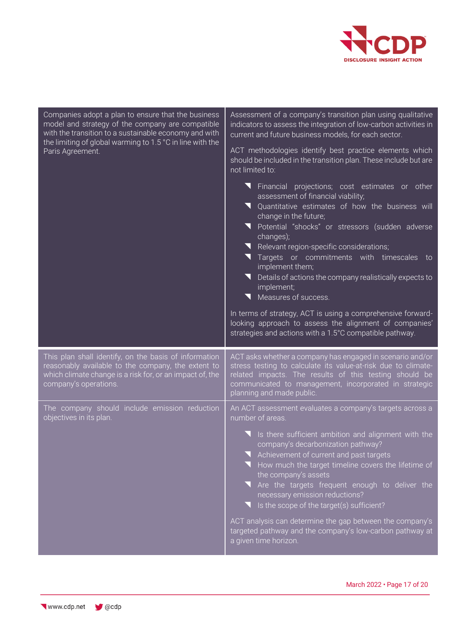

| Companies adopt a plan to ensure that the business<br>model and strategy of the company are compatible<br>with the transition to a sustainable economy and with<br>the limiting of global warming to 1.5 °C in line with the<br>Paris Agreement. | Assessment of a company's transition plan using qualitative<br>indicators to assess the integration of low-carbon activities in<br>current and future business models, for each sector.<br>ACT methodologies identify best practice elements which<br>should be included in the transition plan. These include but are<br>not limited to:<br>T Financial projections; cost estimates or other<br>assessment of financial viability;<br>Quantitative estimates of how the business will<br>change in the future;<br>Potential "shocks" or stressors (sudden adverse<br>changes);<br>Relevant region-specific considerations;<br>Targets or commitments with timescales to<br>implement them;<br>Details of actions the company realistically expects to<br>implement;<br>Measures of success.<br>In terms of strategy, ACT is using a comprehensive forward- |
|--------------------------------------------------------------------------------------------------------------------------------------------------------------------------------------------------------------------------------------------------|-------------------------------------------------------------------------------------------------------------------------------------------------------------------------------------------------------------------------------------------------------------------------------------------------------------------------------------------------------------------------------------------------------------------------------------------------------------------------------------------------------------------------------------------------------------------------------------------------------------------------------------------------------------------------------------------------------------------------------------------------------------------------------------------------------------------------------------------------------------|
|                                                                                                                                                                                                                                                  | looking approach to assess the alignment of companies'<br>strategies and actions with a 1.5°C compatible pathway.                                                                                                                                                                                                                                                                                                                                                                                                                                                                                                                                                                                                                                                                                                                                           |
| This plan shall identify, on the basis of information<br>reasonably available to the company, the extent to<br>which climate change is a risk for, or an impact of, the<br>company's operations.                                                 | ACT asks whether a company has engaged in scenario and/or<br>stress testing to calculate its value-at-risk due to climate-<br>related impacts. The results of this testing should be<br>communicated to management, incorporated in strategic<br>planning and made public.                                                                                                                                                                                                                                                                                                                                                                                                                                                                                                                                                                                  |
| The company should include emission reduction<br>objectives in its plan.                                                                                                                                                                         | An ACT assessment evaluates a company's targets across a<br>number of areas.                                                                                                                                                                                                                                                                                                                                                                                                                                                                                                                                                                                                                                                                                                                                                                                |
|                                                                                                                                                                                                                                                  | $\blacksquare$ Is there sufficient ambition and alignment with the<br>company's decarbonization pathway?<br>Achievement of current and past targets<br>How much the target timeline covers the lifetime of<br>the company's assets<br>Are the targets frequent enough to deliver the<br>necessary emission reductions?<br>Is the scope of the target(s) sufficient?<br>ACT analysis can determine the gap between the company's<br>targeted pathway and the company's low-carbon pathway at<br>a given time horizon.                                                                                                                                                                                                                                                                                                                                        |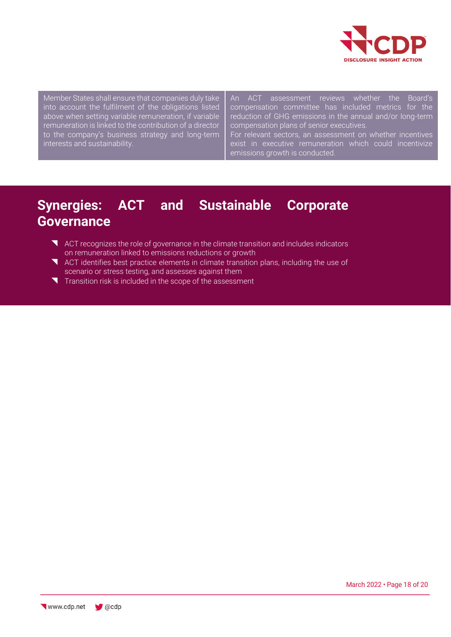

Member States shall ensure that companies duly take into account the fulfilment of the obligations listed above when setting variable remuneration, if variable remuneration is linked to the contribution of a director to the company's business strategy and long-term interests and sustainability.

An ACT assessment reviews whether the Board's compensation committee has included metrics for the reduction of GHG emissions in the annual and/or long-term compensation plans of senior executives.

For relevant sectors, an assessment on whether incentives exist in executive remuneration which could incentivize emissions growth is conducted.

### **Synergies: ACT and Sustainable Corporate Governance**

- ACT recognizes the role of governance in the climate transition and includes indicators on remuneration linked to emissions reductions or growth
- ACT identifies best practice elements in climate transition plans, including the use of scenario or stress testing, and assesses against them
- **T** Transition risk is included in the scope of the assessment

Ι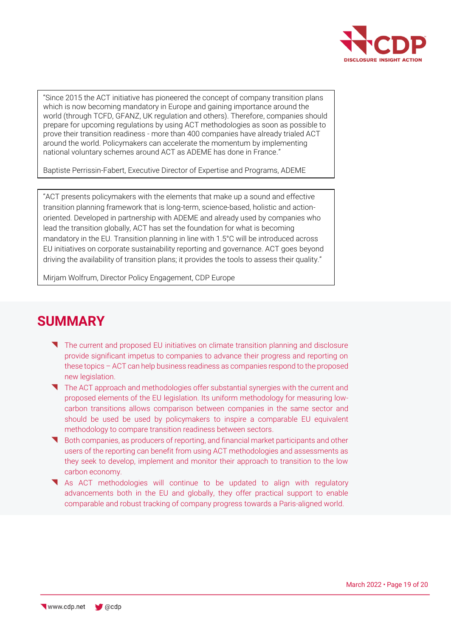

"Since 2015 the ACT initiative has pioneered the concept of company transition plans which is now becoming mandatory in Europe and gaining importance around the world (through TCFD, GFANZ, UK regulation and others). Therefore, companies should prepare for upcoming regulations by using ACT methodologies as soon as possible to prove their transition readiness - more than 400 companies have already trialed ACT around the world. Policymakers can accelerate the momentum by implementing national voluntary schemes around ACT as ADEME has done in France."

Baptiste Perrissin-Fabert, Executive Director of Expertise and Programs, ADEME

"ACT presents policymakers with the elements that make up a sound and effective transition planning framework that is long-term, science-based, holistic and actionoriented. Developed in partnership with ADEME and already used by companies who lead the transition globally, ACT has set the foundation for what is becoming mandatory in the EU. Transition planning in line with 1.5°C will be introduced across EU initiatives on corporate sustainability reporting and governance. ACT goes beyond driving the availability of transition plans; it provides the tools to assess their quality."

Mirjam Wolfrum, Director Policy Engagement, CDP Europe

### **SUMMARY**

- The current and proposed EU initiatives on climate transition planning and disclosure provide significant impetus to companies to advance their progress and reporting on these topics – ACT can help business readiness as companies respond to the proposed new legislation.
- The ACT approach and methodologies offer substantial synergies with the current and proposed elements of the EU legislation. Its uniform methodology for measuring lowcarbon transitions allows comparison between companies in the same sector and should be used be used by policymakers to inspire a comparable EU equivalent methodology to compare transition readiness between sectors.
- Both companies, as producers of reporting, and financial market participants and other users of the reporting can benefit from using ACT methodologies and assessments as they seek to develop, implement and monitor their approach to transition to the low carbon economy.
- As ACT methodologies will continue to be updated to align with regulatory advancements both in the EU and globally, they offer practical support to enable comparable and robust tracking of company progress towards a Paris-aligned world.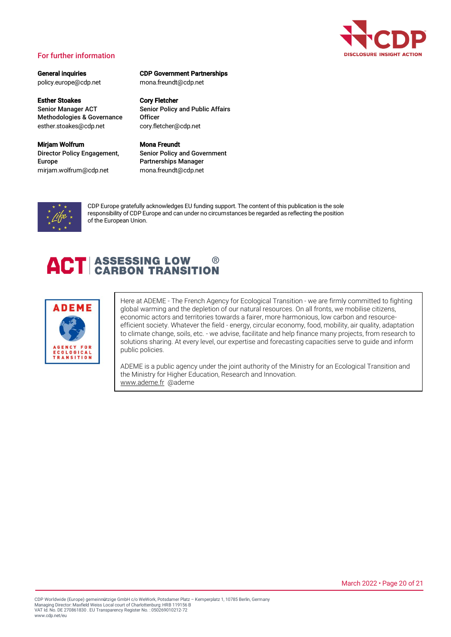

### For further information

General inquiries policy.europe@cdp.net

#### Esther Stoakes Senior Manager ACT Methodologies & Governance

esther.stoakes@cdp.net

Senior Policy and Public Affairs **Officer** cory.fletcher@cdp.net

Cory Fletcher

Mirjam Wolfrum Director Policy Engagement, Europe mirjam.wolfrum@cdp.net

Mona Freundt Senior Policy and Government Partnerships Manager mona.freundt@cdp.net

CDP Government Partnerships mona.freundt@cdp.net



CDP Europe gratefully acknowledges EU funding support. The content of this publication is the sole responsibility of CDP Europe and can under no circumstances be regarded as reflecting the position of the European Union.

# 



Here at ADEME - The French Agency for Ecological Transition - we are firmly committed to fighting global warming and the depletion of our natural resources. On all fronts, we mobilise citizens, economic actors and territories towards a fairer, more harmonious, low carbon and resourceefficient society. Whatever the field - energy, circular economy, food, mobility, air quality, adaptation to climate change, soils, etc. - we advise, facilitate and help finance many projects, from research to solutions sharing. At every level, our expertise and forecasting capacities serve to guide and inform public policies.

ADEME is a public agency under the joint authority of the Ministry for an Ecological Transition and the Ministry for Higher Education, Research and Innovation. [www.ademe.fr](http://www.ademe.fr/) @ademe